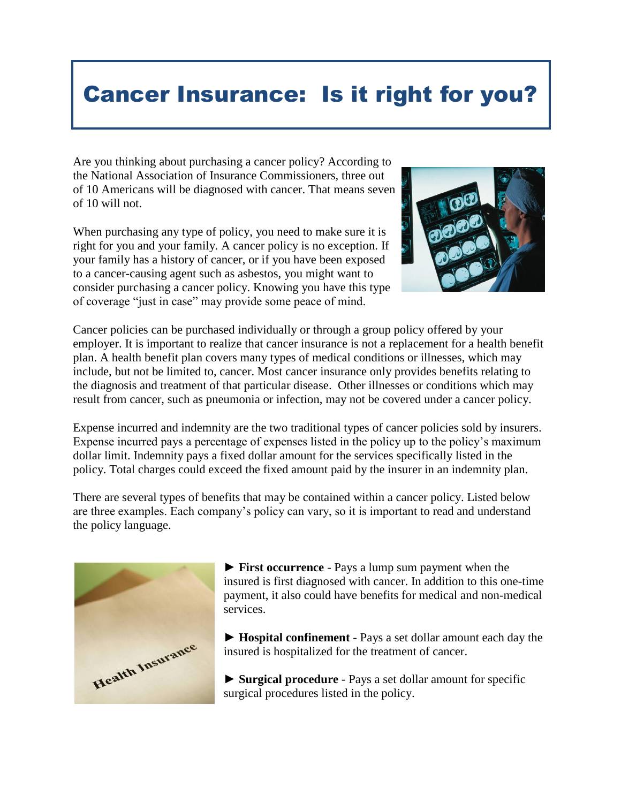## Cancer Insurance: Is it right for you?

Are you thinking about purchasing a cancer policy? According to the National Association of Insurance Commissioners, three out of 10 Americans will be diagnosed with cancer. That means seven of 10 will not.

When purchasing any type of policy, you need to make sure it is right for you and your family. A cancer policy is no exception. If your family has a history of cancer, or if you have been exposed to a cancer-causing agent such as asbestos, you might want to consider purchasing a cancer policy. Knowing you have this type of coverage "just in case" may provide some peace of mind.



Cancer policies can be purchased individually or through a group policy offered by your employer. It is important to realize that cancer insurance is not a replacement for a health benefit plan. A health benefit plan covers many types of medical conditions or illnesses, which may include, but not be limited to, cancer. Most cancer insurance only provides benefits relating to the diagnosis and treatment of that particular disease. Other illnesses or conditions which may result from cancer, such as pneumonia or infection, may not be covered under a cancer policy.

Expense incurred and indemnity are the two traditional types of cancer policies sold by insurers. Expense incurred pays a percentage of expenses listed in the policy up to the policy's maximum dollar limit. Indemnity pays a fixed dollar amount for the services specifically listed in the policy. Total charges could exceed the fixed amount paid by the insurer in an indemnity plan.

There are several types of benefits that may be contained within a cancer policy. Listed below are three examples. Each company's policy can vary, so it is important to read and understand the policy language.



► **First occurrence** - Pays a lump sum payment when the insured is first diagnosed with cancer. In addition to this one-time payment, it also could have benefits for medical and non-medical services.

► **Hospital confinement** - Pays a set dollar amount each day the insured is hospitalized for the treatment of cancer.

► **Surgical procedure** - Pays a set dollar amount for specific surgical procedures listed in the policy.